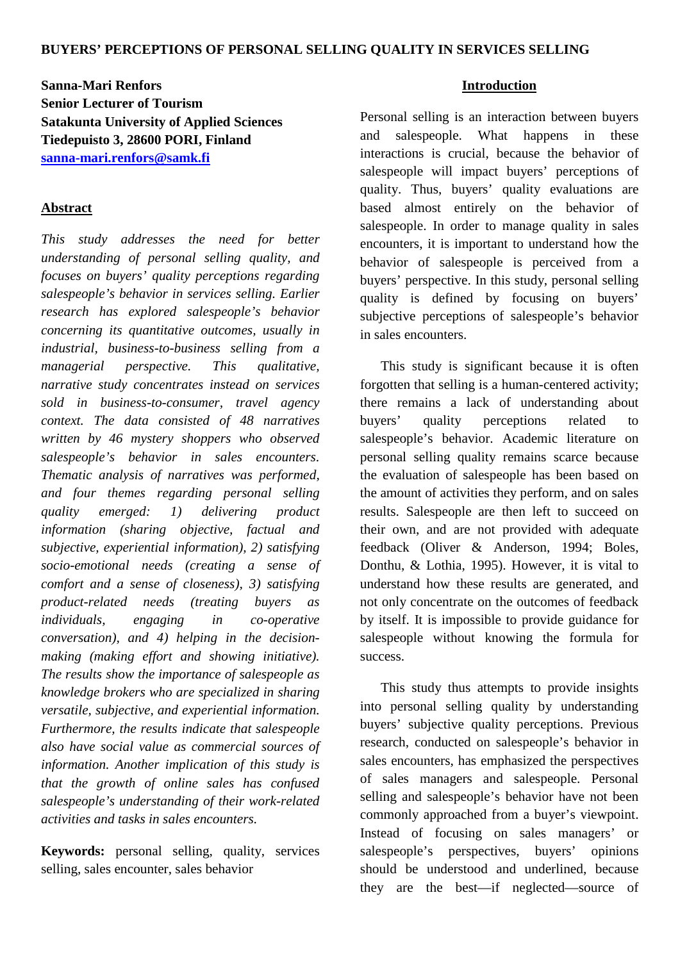# **Sanna-Mari Renfors Senior Lecturer of Tourism Satakunta University of Applied Sciences Tiedepuisto 3, 28600 PORI, Finland [sanna-mari.renfors@samk.fi](mailto:sanna-mari.renfors@samk.fi)**

## **Abstract**

*This study addresses the need for better understanding of personal selling quality, and focuses on buyers' quality perceptions regarding salespeople's behavior in services selling. Earlier research has explored salespeople's behavior concerning its quantitative outcomes, usually in industrial, business-to-business selling from a managerial perspective. This qualitative, narrative study concentrates instead on services sold in business-to-consumer, travel agency context. The data consisted of 48 narratives written by 46 mystery shoppers who observed salespeople's behavior in sales encounters. Thematic analysis of narratives was performed, and four themes regarding personal selling quality emerged: 1) delivering product information (sharing objective, factual and subjective, experiential information), 2) satisfying socio-emotional needs (creating a sense of comfort and a sense of closeness), 3) satisfying product-related needs (treating buyers as individuals, engaging in co-operative conversation), and 4) helping in the decisionmaking (making effort and showing initiative). The results show the importance of salespeople as knowledge brokers who are specialized in sharing versatile, subjective, and experiential information. Furthermore, the results indicate that salespeople also have social value as commercial sources of information. Another implication of this study is that the growth of online sales has confused salespeople's understanding of their work-related activities and tasks in sales encounters.* 

**Keywords:** personal selling, quality, services selling, sales encounter, sales behavior

## **Introduction**

Personal selling is an interaction between buyers and salespeople. What happens in these interactions is crucial, because the behavior of salespeople will impact buyers' perceptions of quality. Thus, buyers' quality evaluations are based almost entirely on the behavior of salespeople. In order to manage quality in sales encounters, it is important to understand how the behavior of salespeople is perceived from a buyers' perspective. In this study, personal selling quality is defined by focusing on buyers' subjective perceptions of salespeople's behavior in sales encounters.

This study is significant because it is often forgotten that selling is a human-centered activity; there remains a lack of understanding about buyers' quality perceptions related to salespeople's behavior. Academic literature on personal selling quality remains scarce because the evaluation of salespeople has been based on the amount of activities they perform, and on sales results. Salespeople are then left to succeed on their own, and are not provided with adequate feedback (Oliver & Anderson, 1994; Boles, Donthu, & Lothia, 1995). However, it is vital to understand how these results are generated, and not only concentrate on the outcomes of feedback by itself. It is impossible to provide guidance for salespeople without knowing the formula for success.

This study thus attempts to provide insights into personal selling quality by understanding buyers' subjective quality perceptions. Previous research, conducted on salespeople's behavior in sales encounters, has emphasized the perspectives of sales managers and salespeople. Personal selling and salespeople's behavior have not been commonly approached from a buyer's viewpoint. Instead of focusing on sales managers' or salespeople's perspectives, buyers' opinions should be understood and underlined, because they are the best—if neglected—source of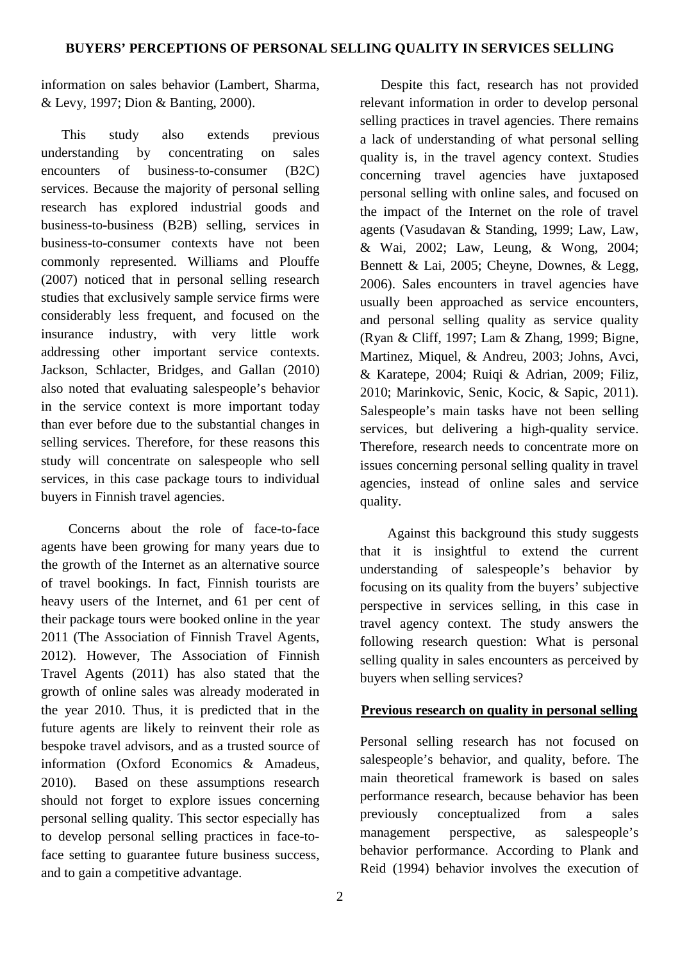information on sales behavior (Lambert, Sharma, & Levy, 1997; Dion & Banting, 2000).

This study also extends previous understanding by concentrating on sales encounters of business-to-consumer (B2C) services. Because the majority of personal selling research has explored industrial goods and business-to-business (B2B) selling, services in business-to-consumer contexts have not been commonly represented. Williams and Plouffe (2007) noticed that in personal selling research studies that exclusively sample service firms were considerably less frequent, and focused on the insurance industry, with very little work addressing other important service contexts. Jackson, Schlacter, Bridges, and Gallan (2010) also noted that evaluating salespeople's behavior in the service context is more important today than ever before due to the substantial changes in selling services. Therefore, for these reasons this study will concentrate on salespeople who sell services, in this case package tours to individual buyers in Finnish travel agencies.

 Concerns about the role of face-to-face agents have been growing for many years due to the growth of the Internet as an alternative source of travel bookings. In fact, Finnish tourists are heavy users of the Internet, and 61 per cent of their package tours were booked online in the year 2011 (The Association of Finnish Travel Agents, 2012). However, The Association of Finnish Travel Agents (2011) has also stated that the growth of online sales was already moderated in the year 2010. Thus, it is predicted that in the future agents are likely to reinvent their role as bespoke travel advisors, and as a trusted source of information (Oxford Economics & Amadeus, 2010). Based on these assumptions research should not forget to explore issues concerning personal selling quality. This sector especially has to develop personal selling practices in face-toface setting to guarantee future business success, and to gain a competitive advantage.

Despite this fact, research has not provided relevant information in order to develop personal selling practices in travel agencies. There remains a lack of understanding of what personal selling quality is, in the travel agency context. Studies concerning travel agencies have juxtaposed personal selling with online sales, and focused on the impact of the Internet on the role of travel agents (Vasudavan & Standing, 1999; Law, Law, & Wai, 2002; Law, Leung, & Wong, 2004; Bennett & Lai, 2005; Cheyne, Downes, & Legg, 2006). Sales encounters in travel agencies have usually been approached as service encounters, and personal selling quality as service quality (Ryan & Cliff, 1997; Lam & Zhang, 1999; Bigne, Martinez, Miquel, & Andreu, 2003; Johns, Avci, & Karatepe, 2004; Ruiqi & Adrian, 2009; Filiz, 2010; Marinkovic, Senic, Kocic, & Sapic, 2011). Salespeople's main tasks have not been selling services, but delivering a high-quality service. Therefore, research needs to concentrate more on issues concerning personal selling quality in travel agencies, instead of online sales and service quality.

Against this background this study suggests that it is insightful to extend the current understanding of salespeople's behavior by focusing on its quality from the buyers' subjective perspective in services selling, in this case in travel agency context. The study answers the following research question: What is personal selling quality in sales encounters as perceived by buyers when selling services?

### **Previous research on quality in personal selling**

Personal selling research has not focused on salespeople's behavior, and quality, before. The main theoretical framework is based on sales performance research, because behavior has been previously conceptualized from a sales management perspective, as salespeople's behavior performance. According to Plank and Reid (1994) behavior involves the execution of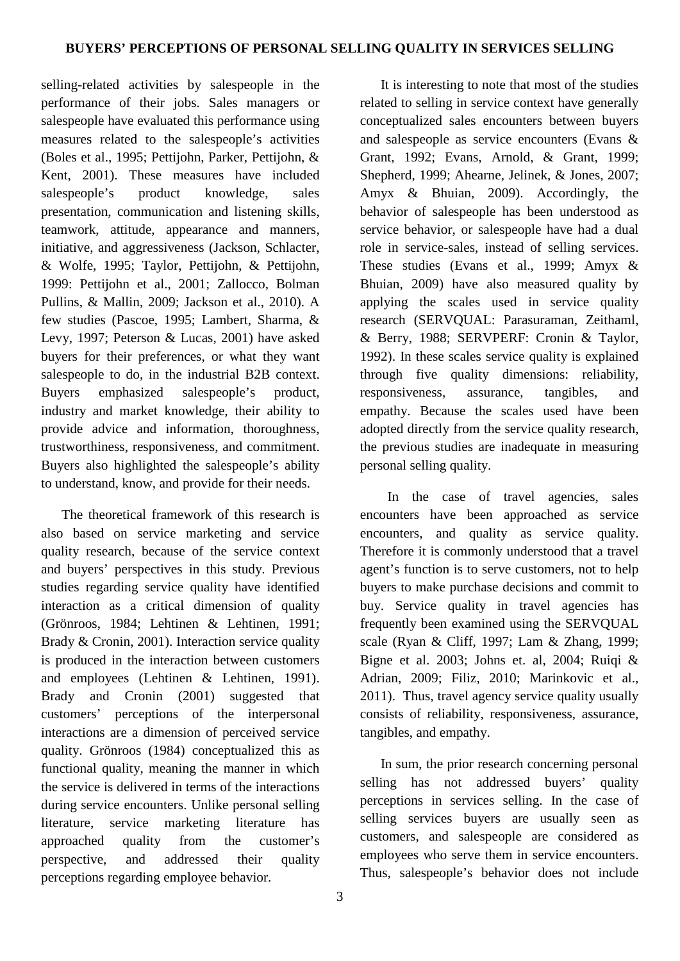selling-related activities by salespeople in the performance of their jobs. Sales managers or salespeople have evaluated this performance using measures related to the salespeople's activities (Boles et al., 1995; Pettijohn, Parker, Pettijohn, & Kent, 2001). These measures have included salespeople's product knowledge, sales presentation, communication and listening skills, teamwork, attitude, appearance and manners, initiative, and aggressiveness (Jackson, Schlacter, & Wolfe, 1995; Taylor, Pettijohn, & Pettijohn, 1999: Pettijohn et al., 2001; Zallocco, Bolman Pullins, & Mallin, 2009; Jackson et al., 2010). A few studies (Pascoe, 1995; Lambert, Sharma, & Levy, 1997; Peterson & Lucas, 2001) have asked buyers for their preferences, or what they want salespeople to do, in the industrial B2B context. Buyers emphasized salespeople's product, industry and market knowledge, their ability to provide advice and information, thoroughness, trustworthiness, responsiveness, and commitment. Buyers also highlighted the salespeople's ability to understand, know, and provide for their needs.

The theoretical framework of this research is also based on service marketing and service quality research, because of the service context and buyers' perspectives in this study. Previous studies regarding service quality have identified interaction as a critical dimension of quality (Grönroos, 1984; Lehtinen & Lehtinen, 1991; Brady & Cronin, 2001). Interaction service quality is produced in the interaction between customers and employees (Lehtinen & Lehtinen, 1991). Brady and Cronin (2001) suggested that customers' perceptions of the interpersonal interactions are a dimension of perceived service quality. Grönroos (1984) conceptualized this as functional quality, meaning the manner in which the service is delivered in terms of the interactions during service encounters. Unlike personal selling literature, service marketing literature has approached quality from the customer's perspective, and addressed their quality perceptions regarding employee behavior.

related to selling in service context have generally conceptualized sales encounters between buyers and salespeople as service encounters (Evans & Grant, 1992; Evans, Arnold, & Grant, 1999; Shepherd, 1999; Ahearne, Jelinek, & Jones, 2007; Amyx & Bhuian, 2009). Accordingly, the behavior of salespeople has been understood as service behavior, or salespeople have had a dual role in service-sales, instead of selling services. These studies (Evans et al., 1999; Amyx & Bhuian, 2009) have also measured quality by applying the scales used in service quality research (SERVQUAL: Parasuraman, Zeithaml, & Berry, 1988; SERVPERF: Cronin & Taylor, 1992). In these scales service quality is explained through five quality dimensions: reliability, responsiveness, assurance, tangibles, and empathy. Because the scales used have been adopted directly from the service quality research, the previous studies are inadequate in measuring personal selling quality.

It is interesting to note that most of the studies

In the case of travel agencies, sales encounters have been approached as service encounters, and quality as service quality. Therefore it is commonly understood that a travel agent's function is to serve customers, not to help buyers to make purchase decisions and commit to buy. Service quality in travel agencies has frequently been examined using the SERVQUAL scale (Ryan & Cliff, 1997; Lam & Zhang, 1999; Bigne et al. 2003; Johns et. al, 2004; Ruiqi & Adrian, 2009; Filiz, 2010; Marinkovic et al., 2011). Thus, travel agency service quality usually consists of reliability, responsiveness, assurance, tangibles, and empathy.

In sum, the prior research concerning personal selling has not addressed buyers' quality perceptions in services selling. In the case of selling services buyers are usually seen as customers, and salespeople are considered as employees who serve them in service encounters. Thus, salespeople's behavior does not include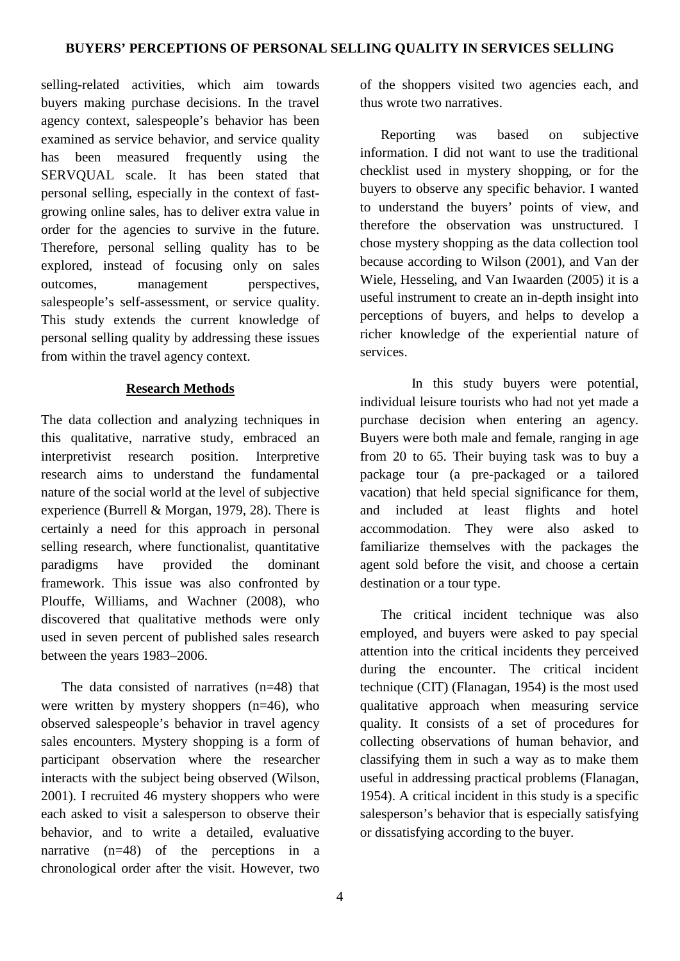selling-related activities, which aim towards buyers making purchase decisions. In the travel agency context, salespeople's behavior has been examined as service behavior, and service quality has been measured frequently using the SERVQUAL scale. It has been stated that personal selling, especially in the context of fastgrowing online sales, has to deliver extra value in order for the agencies to survive in the future. Therefore, personal selling quality has to be explored, instead of focusing only on sales outcomes, management perspectives, salespeople's self-assessment, or service quality. This study extends the current knowledge of personal selling quality by addressing these issues from within the travel agency context.

## **Research Methods**

The data collection and analyzing techniques in this qualitative, narrative study, embraced an interpretivist research position. Interpretive research aims to understand the fundamental nature of the social world at the level of subjective experience (Burrell & Morgan, 1979, 28). There is certainly a need for this approach in personal selling research, where functionalist, quantitative paradigms have provided the dominant framework. This issue was also confronted by Plouffe, Williams, and Wachner (2008), who discovered that qualitative methods were only used in seven percent of published sales research between the years 1983–2006.

The data consisted of narratives (n=48) that were written by mystery shoppers (n=46), who observed salespeople's behavior in travel agency sales encounters. Mystery shopping is a form of participant observation where the researcher interacts with the subject being observed (Wilson, 2001). I recruited 46 mystery shoppers who were each asked to visit a salesperson to observe their behavior, and to write a detailed, evaluative narrative (n=48) of the perceptions in a chronological order after the visit. However, two of the shoppers visited two agencies each, and thus wrote two narratives.

Reporting was based on subjective information. I did not want to use the traditional checklist used in mystery shopping, or for the buyers to observe any specific behavior. I wanted to understand the buyers' points of view, and therefore the observation was unstructured. I chose mystery shopping as the data collection tool because according to Wilson (2001), and Van der Wiele, Hesseling, and Van Iwaarden (2005) it is a useful instrument to create an in-depth insight into perceptions of buyers, and helps to develop a richer knowledge of the experiential nature of services.

 In this study buyers were potential, individual leisure tourists who had not yet made a purchase decision when entering an agency. Buyers were both male and female, ranging in age from 20 to 65. Their buying task was to buy a package tour (a pre-packaged or a tailored vacation) that held special significance for them, and included at least flights and hotel accommodation. They were also asked to familiarize themselves with the packages the agent sold before the visit, and choose a certain destination or a tour type.

 The critical incident technique was also employed, and buyers were asked to pay special attention into the critical incidents they perceived during the encounter. The critical incident technique (CIT) (Flanagan, 1954) is the most used qualitative approach when measuring service quality. It consists of a set of procedures for collecting observations of human behavior, and classifying them in such a way as to make them useful in addressing practical problems (Flanagan, 1954). A critical incident in this study is a specific salesperson's behavior that is especially satisfying or dissatisfying according to the buyer.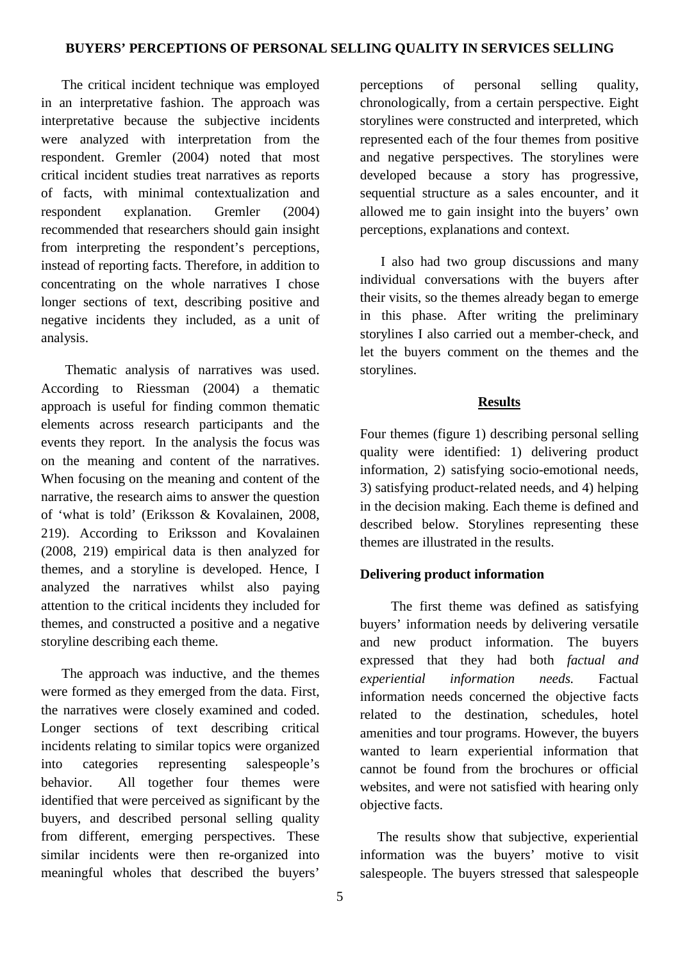The critical incident technique was employed in an interpretative fashion. The approach was interpretative because the subjective incidents were analyzed with interpretation from the respondent. Gremler (2004) noted that most critical incident studies treat narratives as reports of facts, with minimal contextualization and respondent explanation. Gremler (2004) recommended that researchers should gain insight from interpreting the respondent's perceptions, instead of reporting facts. Therefore, in addition to concentrating on the whole narratives I chose longer sections of text, describing positive and negative incidents they included, as a unit of analysis.

 Thematic analysis of narratives was used. According to Riessman (2004) a thematic approach is useful for finding common thematic elements across research participants and the events they report*.* In the analysis the focus was on the meaning and content of the narratives. When focusing on the meaning and content of the narrative, the research aims to answer the question of 'what is told' (Eriksson & Kovalainen, 2008, 219). According to Eriksson and Kovalainen (2008, 219) empirical data is then analyzed for themes, and a storyline is developed. Hence, I analyzed the narratives whilst also paying attention to the critical incidents they included for themes, and constructed a positive and a negative storyline describing each theme.

 The approach was inductive, and the themes were formed as they emerged from the data. First, the narratives were closely examined and coded. Longer sections of text describing critical incidents relating to similar topics were organized into categories representing salespeople's behavior. All together four themes were identified that were perceived as significant by the buyers, and described personal selling quality from different, emerging perspectives. These similar incidents were then re-organized into meaningful wholes that described the buyers'

perceptions of personal selling quality, chronologically, from a certain perspective. Eight storylines were constructed and interpreted, which represented each of the four themes from positive and negative perspectives. The storylines were developed because a story has progressive, sequential structure as a sales encounter, and it allowed me to gain insight into the buyers' own perceptions, explanations and context.

I also had two group discussions and many individual conversations with the buyers after their visits, so the themes already began to emerge in this phase. After writing the preliminary storylines I also carried out a member-check, and let the buyers comment on the themes and the storylines.

## **Results**

Four themes (figure 1) describing personal selling quality were identified: 1) delivering product information, 2) satisfying socio-emotional needs, 3) satisfying product-related needs, and 4) helping in the decision making. Each theme is defined and described below. Storylines representing these themes are illustrated in the results.

# **Delivering product information**

 The first theme was defined as satisfying buyers' information needs by delivering versatile and new product information. The buyers expressed that they had both *factual and experiential information needs.* Factual information needs concerned the objective facts related to the destination, schedules, hotel amenities and tour programs. However, the buyers wanted to learn experiential information that cannot be found from the brochures or official websites, and were not satisfied with hearing only objective facts.

 The results show that subjective, experiential information was the buyers' motive to visit salespeople. The buyers stressed that salespeople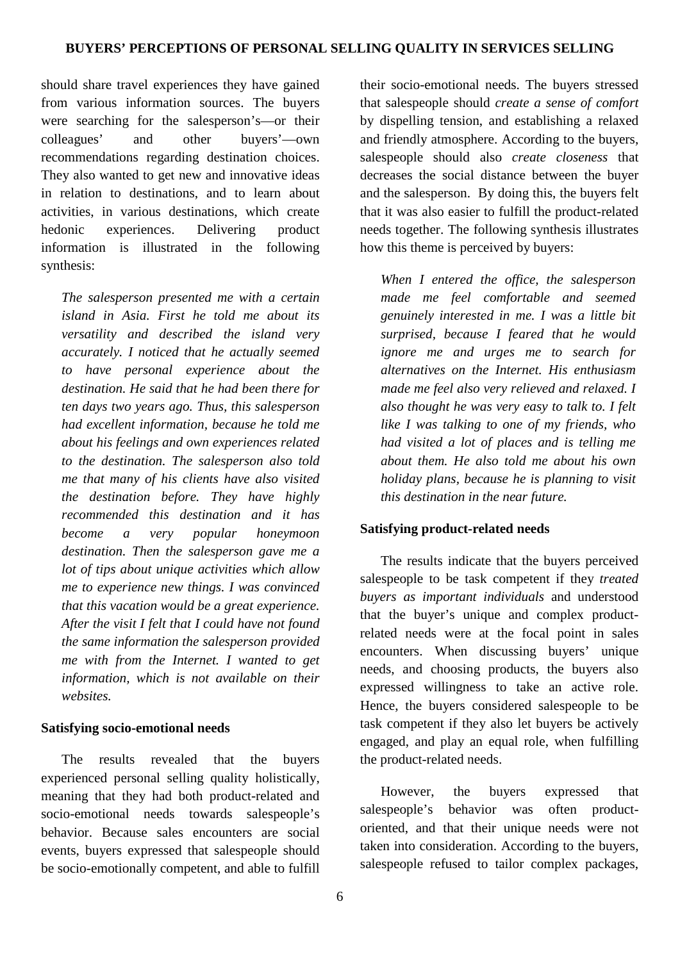should share travel experiences they have gained from various information sources. The buyers were searching for the salesperson's—or their colleagues' and other buyers'—own recommendations regarding destination choices. They also wanted to get new and innovative ideas in relation to destinations, and to learn about activities, in various destinations, which create hedonic experiences. Delivering product information is illustrated in the following synthesis:

*The salesperson presented me with a certain island in Asia. First he told me about its versatility and described the island very accurately. I noticed that he actually seemed to have personal experience about the destination. He said that he had been there for ten days two years ago. Thus, this salesperson had excellent information, because he told me about his feelings and own experiences related to the destination. The salesperson also told me that many of his clients have also visited the destination before. They have highly recommended this destination and it has become a very popular honeymoon destination. Then the salesperson gave me a lot of tips about unique activities which allow me to experience new things. I was convinced that this vacation would be a great experience. After the visit I felt that I could have not found the same information the salesperson provided me with from the Internet. I wanted to get information, which is not available on their websites.* 

## **Satisfying socio-emotional needs**

The results revealed that the buyers experienced personal selling quality holistically, meaning that they had both product-related and socio-emotional needs towards salespeople's behavior. Because sales encounters are social events, buyers expressed that salespeople should be socio-emotionally competent, and able to fulfill their socio-emotional needs. The buyers stressed that salespeople should *create a sense of comfort* by dispelling tension, and establishing a relaxed and friendly atmosphere. According to the buyers, salespeople should also *create closeness* that decreases the social distance between the buyer and the salesperson. By doing this, the buyers felt that it was also easier to fulfill the product-related needs together. The following synthesis illustrates how this theme is perceived by buyers:

*When I entered the office, the salesperson made me feel comfortable and seemed genuinely interested in me. I was a little bit surprised, because I feared that he would ignore me and urges me to search for alternatives on the Internet. His enthusiasm made me feel also very relieved and relaxed. I also thought he was very easy to talk to. I felt like I was talking to one of my friends, who had visited a lot of places and is telling me about them. He also told me about his own holiday plans, because he is planning to visit this destination in the near future.* 

## **Satisfying product-related needs**

The results indicate that the buyers perceived salespeople to be task competent if they *treated buyers as important individuals* and understood that the buyer's unique and complex productrelated needs were at the focal point in sales encounters. When discussing buyers' unique needs, and choosing products, the buyers also expressed willingness to take an active role. Hence, the buyers considered salespeople to be task competent if they also let buyers be actively engaged, and play an equal role, when fulfilling the product-related needs.

However, the buyers expressed that salespeople's behavior was often productoriented, and that their unique needs were not taken into consideration. According to the buyers, salespeople refused to tailor complex packages,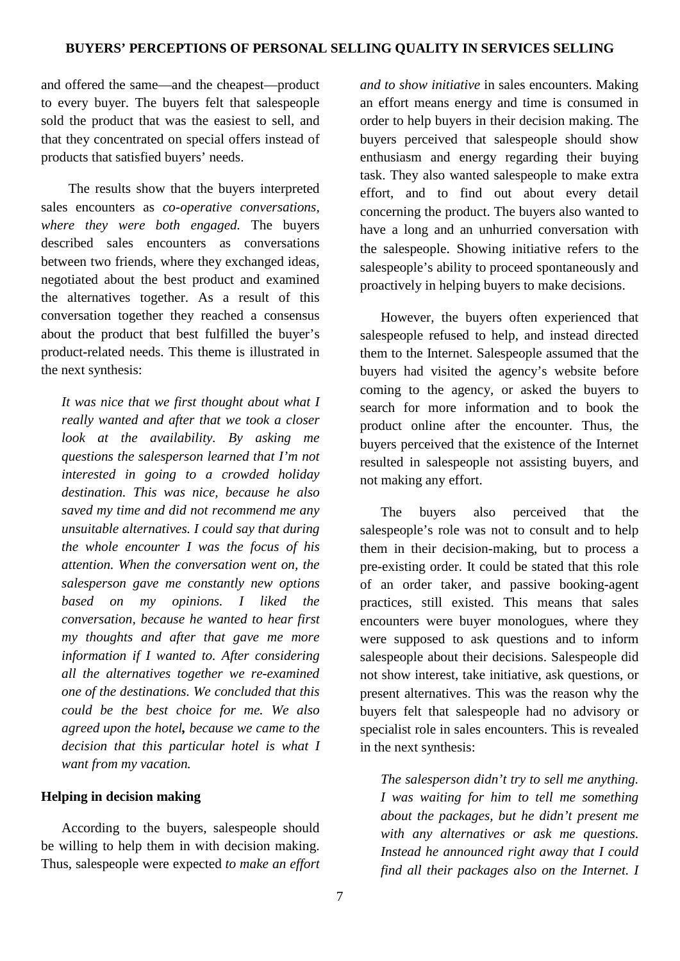and offered the same—and the cheapest—product to every buyer. The buyers felt that salespeople sold the product that was the easiest to sell, and that they concentrated on special offers instead of products that satisfied buyers' needs.

 The results show that the buyers interpreted sales encounters as *co-operative conversations, where they were both engaged.* The buyers described sales encounters as conversations between two friends, where they exchanged ideas, negotiated about the best product and examined the alternatives together. As a result of this conversation together they reached a consensus about the product that best fulfilled the buyer's product-related needs. This theme is illustrated in the next synthesis:

*It was nice that we first thought about what I really wanted and after that we took a closer look at the availability. By asking me questions the salesperson learned that I'm not interested in going to a crowded holiday destination. This was nice, because he also saved my time and did not recommend me any unsuitable alternatives. I could say that during the whole encounter I was the focus of his attention. When the conversation went on, the salesperson gave me constantly new options based on my opinions. I liked the conversation, because he wanted to hear first my thoughts and after that gave me more information if I wanted to. After considering all the alternatives together we re-examined one of the destinations. We concluded that this could be the best choice for me. We also agreed upon the hotel, because we came to the decision that this particular hotel is what I want from my vacation.*

### **Helping in decision making**

According to the buyers, salespeople should be willing to help them in with decision making. Thus, salespeople were expected *to make an effort* 

*and to show initiative* in sales encounters. Making an effort means energy and time is consumed in order to help buyers in their decision making. The buyers perceived that salespeople should show enthusiasm and energy regarding their buying task. They also wanted salespeople to make extra effort, and to find out about every detail concerning the product. The buyers also wanted to have a long and an unhurried conversation with the salespeople. Showing initiative refers to the salespeople's ability to proceed spontaneously and proactively in helping buyers to make decisions.

However, the buyers often experienced that salespeople refused to help, and instead directed them to the Internet. Salespeople assumed that the buyers had visited the agency's website before coming to the agency, or asked the buyers to search for more information and to book the product online after the encounter. Thus, the buyers perceived that the existence of the Internet resulted in salespeople not assisting buyers, and not making any effort.

The buyers also perceived that the salespeople's role was not to consult and to help them in their decision-making, but to process a pre-existing order. It could be stated that this role of an order taker, and passive booking-agent practices, still existed. This means that sales encounters were buyer monologues, where they were supposed to ask questions and to inform salespeople about their decisions. Salespeople did not show interest, take initiative, ask questions, or present alternatives. This was the reason why the buyers felt that salespeople had no advisory or specialist role in sales encounters. This is revealed in the next synthesis:

*The salesperson didn't try to sell me anything. I was waiting for him to tell me something about the packages, but he didn't present me with any alternatives or ask me questions. Instead he announced right away that I could find all their packages also on the Internet. I*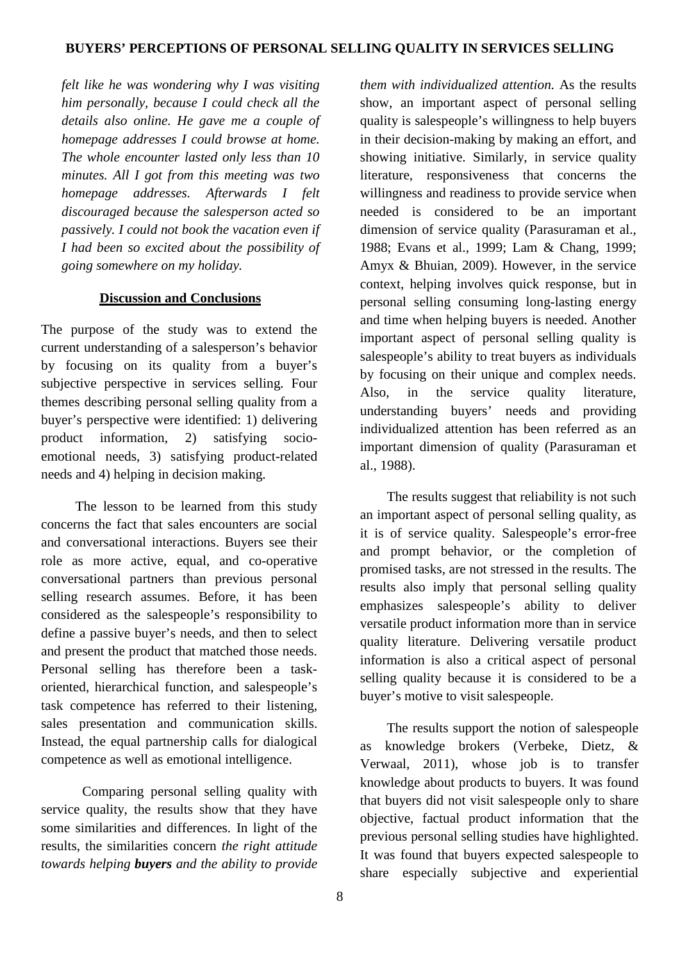*felt like he was wondering why I was visiting him personally, because I could check all the details also online. He gave me a couple of homepage addresses I could browse at home. The whole encounter lasted only less than 10 minutes. All I got from this meeting was two homepage addresses. Afterwards I felt discouraged because the salesperson acted so passively. I could not book the vacation even if I had been so excited about the possibility of going somewhere on my holiday.*

## **Discussion and Conclusions**

The purpose of the study was to extend the current understanding of a salesperson's behavior by focusing on its quality from a buyer's subjective perspective in services selling. Four themes describing personal selling quality from a buyer's perspective were identified: 1) delivering product information, 2) satisfying socioemotional needs, 3) satisfying product-related needs and 4) helping in decision making.

 The lesson to be learned from this study concerns the fact that sales encounters are social and conversational interactions. Buyers see their role as more active, equal, and co-operative conversational partners than previous personal selling research assumes. Before, it has been considered as the salespeople's responsibility to define a passive buyer's needs, and then to select and present the product that matched those needs. Personal selling has therefore been a taskoriented, hierarchical function, and salespeople's task competence has referred to their listening, sales presentation and communication skills. Instead, the equal partnership calls for dialogical competence as well as emotional intelligence.

Comparing personal selling quality with service quality, the results show that they have some similarities and differences. In light of the results, the similarities concern *the right attitude towards helping buyers and the ability to provide*  *them with individualized attention.* As the results show, an important aspect of personal selling quality is salespeople's willingness to help buyers in their decision-making by making an effort, and showing initiative. Similarly, in service quality literature, responsiveness that concerns the willingness and readiness to provide service when needed is considered to be an important dimension of service quality (Parasuraman et al., 1988; Evans et al., 1999; Lam & Chang, 1999; Amyx & Bhuian, 2009). However, in the service context, helping involves quick response, but in personal selling consuming long-lasting energy and time when helping buyers is needed. Another important aspect of personal selling quality is salespeople's ability to treat buyers as individuals by focusing on their unique and complex needs. Also, in the service quality literature, understanding buyers' needs and providing individualized attention has been referred as an important dimension of quality (Parasuraman et al., 1988).

The results suggest that reliability is not such an important aspect of personal selling quality, as it is of service quality. Salespeople's error-free and prompt behavior, or the completion of promised tasks, are not stressed in the results. The results also imply that personal selling quality emphasizes salespeople's ability to deliver versatile product information more than in service quality literature. Delivering versatile product information is also a critical aspect of personal selling quality because it is considered to be a buyer's motive to visit salespeople.

The results support the notion of salespeople as knowledge brokers (Verbeke, Dietz, & Verwaal, 2011), whose job is to transfer knowledge about products to buyers. It was found that buyers did not visit salespeople only to share objective, factual product information that the previous personal selling studies have highlighted. It was found that buyers expected salespeople to share especially subjective and experiential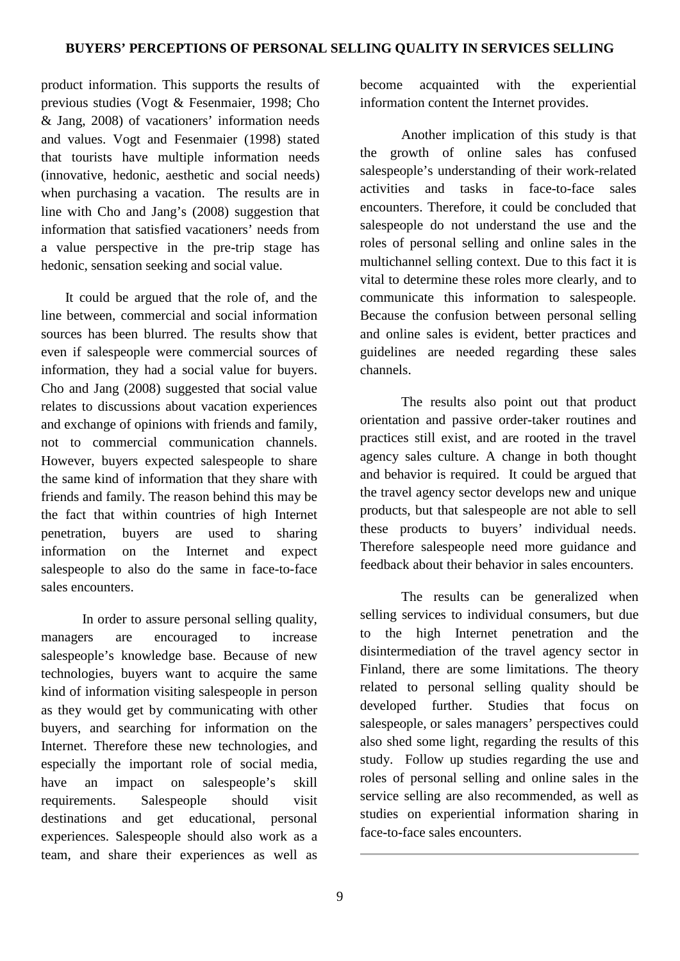product information. This supports the results of previous studies (Vogt & Fesenmaier, 1998; Cho & Jang, 2008) of vacationers' information needs and values. Vogt and Fesenmaier (1998) stated that tourists have multiple information needs (innovative, hedonic, aesthetic and social needs) when purchasing a vacation. The results are in line with Cho and Jang's (2008) suggestion that information that satisfied vacationers' needs from a value perspective in the pre-trip stage has hedonic, sensation seeking and social value.

 It could be argued that the role of, and the line between, commercial and social information sources has been blurred. The results show that even if salespeople were commercial sources of information, they had a social value for buyers. Cho and Jang (2008) suggested that social value relates to discussions about vacation experiences and exchange of opinions with friends and family, not to commercial communication channels. However, buyers expected salespeople to share the same kind of information that they share with friends and family. The reason behind this may be the fact that within countries of high Internet penetration, buyers are used to sharing information on the Internet and expect salespeople to also do the same in face-to-face sales encounters.

In order to assure personal selling quality, managers are encouraged to increase salespeople's knowledge base. Because of new technologies, buyers want to acquire the same kind of information visiting salespeople in person as they would get by communicating with other buyers, and searching for information on the Internet. Therefore these new technologies, and especially the important role of social media, have an impact on salespeople's skill requirements. Salespeople should visit destinations and get educational, personal experiences. Salespeople should also work as a team, and share their experiences as well as

become acquainted with the experiential information content the Internet provides.

Another implication of this study is that the growth of online sales has confused salespeople's understanding of their work-related activities and tasks in face-to-face sales encounters. Therefore, it could be concluded that salespeople do not understand the use and the roles of personal selling and online sales in the multichannel selling context. Due to this fact it is vital to determine these roles more clearly, and to communicate this information to salespeople. Because the confusion between personal selling and online sales is evident, better practices and guidelines are needed regarding these sales channels.

The results also point out that product orientation and passive order-taker routines and practices still exist, and are rooted in the travel agency sales culture. A change in both thought and behavior is required. It could be argued that the travel agency sector develops new and unique products, but that salespeople are not able to sell these products to buyers' individual needs. Therefore salespeople need more guidance and feedback about their behavior in sales encounters.

The results can be generalized when selling services to individual consumers, but due to the high Internet penetration and the disintermediation of the travel agency sector in Finland, there are some limitations. The theory related to personal selling quality should be developed further. Studies that focus on salespeople, or sales managers' perspectives could also shed some light, regarding the results of this study. Follow up studies regarding the use and roles of personal selling and online sales in the service selling are also recommended, as well as studies on experiential information sharing in face-to-face sales encounters.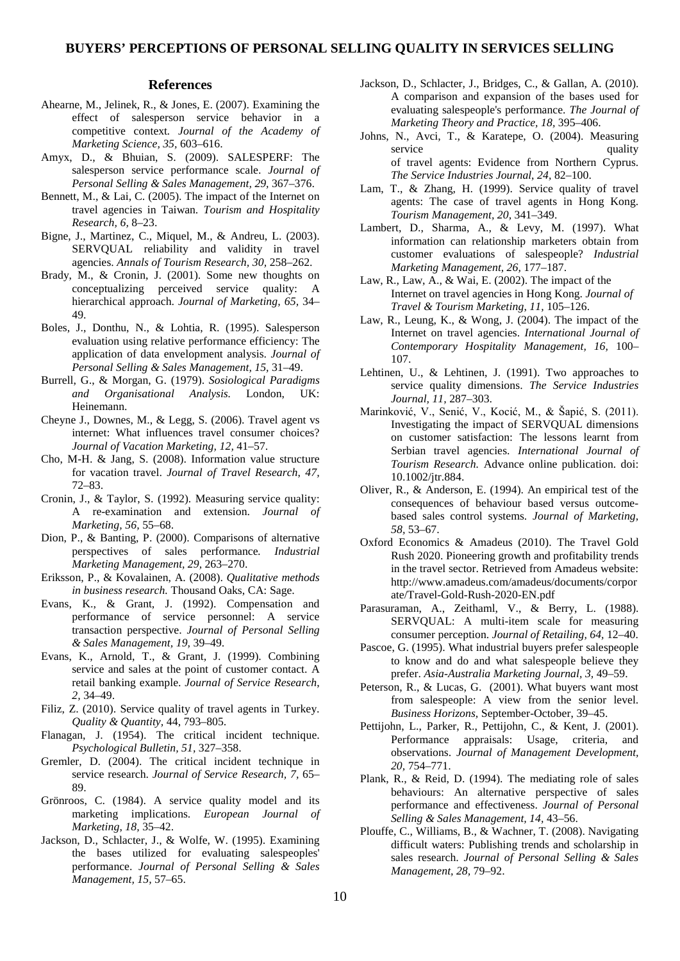#### **References**

- Ahearne, M., Jelinek, R., & Jones, E. (2007). Examining the effect of salesperson service behavior in a competitive context*. Journal of the Academy of Marketing Science, 35,* 603–616.
- Amyx, D., & Bhuian, S. (2009). SALESPERF: The salesperson service performance scale. *Journal of Personal Selling & Sales Management, 29,* 367–376.
- Bennett, M., & Lai, C. (2005). The impact of the Internet on travel agencies in Taiwan. *[Tourism and Hospitality](http://www.ingentaconnect.com/content/pal/thr)  [Research,](http://www.ingentaconnect.com/content/pal/thr) 6,* 8–23.
- Bigne, J., Martinez, C., Miquel, M., & Andreu, L. (2003). SERVQUAL reliability and validity in travel agencies. *Annals of Tourism Research, 30,* 258–262.
- Brady, M., & Cronin, J. (2001). Some new thoughts on conceptualizing perceived service quality: A hierarchical approach. *Journal of Marketing, 65,* 34– 49.
- Boles, J., Donthu, N., & Lohtia, R. (1995). Salesperson evaluation using relative performance efficiency: The application of data envelopment analysis. *Journal of Personal Selling & Sales Management, 15,* 31–49.
- Burrell, G., & Morgan, G. (1979). *Sosiological Paradigms and Organisational Analysis.* London, UK: Heinemann.
- Cheyne J., Downes, M., & Legg, S. (2006). Travel agent vs internet: What influences travel consumer choices? *Journal of Vacation Marketing, 12,* 41–57.
- Cho, M-H. & Jang, S. (2008). Information value structure for vacation travel. *Journal of Travel Research*, *47,* 72–83.
- Cronin, J., & Taylor, S. (1992). Measuring service quality: A re-examination and extension. *Journal of Marketing, 56,* 55–68.
- Dion, P., & Banting, P. (2000). Comparisons of alternative perspectives of sales performance*. Industrial Marketing Management, 29,* 263–270.
- Eriksson, P., & Kovalainen, A. (2008). *Qualitative methods in business research.* Thousand Oaks, CA: Sage.
- Evans, K., & Grant, J. (1992). Compensation and performance of service personnel: A service transaction perspective. *Journal of Personal Selling & Sales Management, 19,* 39–49.
- Evans, K., Arnold, T., & Grant, J. (1999). Combining service and sales at the point of customer contact. A retail banking example. *Journal of Service Research*, *2,* 34–49.
- Filiz, Z. (2010). Service quality of travel agents in Turkey. *Quality & Quantity,* 44, 793–805.
- Flanagan, J. (1954). The critical incident technique. *Psychological Bulletin, 51,* 327–358.
- Gremler, D. (2004). The critical incident technique in service research. *Journal of Service Research, 7,* 65– 89.
- Grönroos, C. (1984). A service quality model and its marketing implications. *European Journal of Marketing*, *18,* 35–42.
- Jackson, D., Schlacter, J., & Wolfe, W. (1995). Examining the bases utilized for evaluating salespeoples' performance. *Journal of Personal Selling & Sales Management, 15,* 57–65.
- Jackson, D., Schlacter, J., Bridges, C., & Gallan, A. (2010). A comparison and expansion of the bases used for evaluating salespeople's performance. *The Journal of Marketing Theory and Practice, 18,* 395–406.
- Johns, N., Avci, T., & Karatepe, O. (2004). Measuring service quality of travel agents: Evidence from Northern Cyprus. *The Service Industries Journal*, *24,* 82–100.
- Lam, T., & Zhang, H. (1999). Service quality of travel agents: The case of travel agents in Hong Kong. *Tourism Management, 20,* 341–349.
- Lambert, D., Sharma, A., & Levy, M. (1997). What information can relationship marketers obtain from customer evaluations of salespeople? *Industrial Marketing Management, 26,* 177–187.
- Law, R., Law, A., & Wai, E. (2002)[. The impact of the](http://www.informaworld.com/index/904049520.pdf)  [Internet on travel agencies in Hong Kong.](http://www.informaworld.com/index/904049520.pdf) *Journal of Travel & Tourism Marketing*, *11,* 105–126.
- Law, R., Leung, K., & Wong, J. (2004). The impact of the Internet on travel agencies. *International Journal of Contemporary Hospitality Management, 16,* 100– 107.
- Lehtinen, U., & Lehtinen, J. (1991). Two approaches to service quality dimensions. *The Service Industries Journal, 11,* 287–303.
- Marinković, V., Senić, V., Kocić, M., & Šapić, S. (2011). Investigating the impact of SERVQUAL dimensions on customer satisfaction: The lessons learnt from Serbian travel agencies. *International Journal of Tourism Research.* Advance online publication. doi: 10.1002/jtr.884.
- Oliver, R., & Anderson, E. (1994). An empirical test of the consequences of behaviour based versus outcomebased sales control systems. *Journal of Marketing, 58,* 53–67.
- Oxford Economics & Amadeus (2010). The Travel Gold Rush 2020. Pioneering growth and profitability trends in the travel sector. Retrieved from Amadeus website: [http://www.amadeus.com/amadeus/documents/corpor](http://www.amadeus.com/amadeus/documents/corporate/Travel-Gold-Rush-2020-EN.pdf) [ate/Travel-Gold-Rush-2020-EN.pdf](http://www.amadeus.com/amadeus/documents/corporate/Travel-Gold-Rush-2020-EN.pdf)
- Parasuraman, A., Zeithaml, V., & Berry, L. (1988). SERVQUAL: A multi-item scale for measuring consumer perception. *Journal of Retailing, 64,* 12–40.
- Pascoe, G. (1995). What industrial buyers prefer salespeople to know and do and what salespeople believe they prefer. *Asia-Australia Marketing Journal, 3,* 49–59.
- Peterson, R., & Lucas, G. (2001). What buyers want most from salespeople: A view from the senior level. *Business Horizons,* September-October, 39–45.
- Pettijohn, L., Parker, R., Pettijohn, C., & Kent, J. (2001). Performance appraisals: Usage, criteria, and observations. *Journal of Management Development, 20,* 754–771.
- Plank, R., & Reid, D. (1994). The mediating role of sales behaviours: An alternative perspective of sales performance and effectiveness. *Journal of Personal Selling & Sales Management, 14,* 43–56.
- Plouffe, C., Williams, B., & Wachner, T. (2008). Navigating difficult waters: Publishing trends and scholarship in sales research. *Journal of Personal Selling & Sales Management, 28,* 79–92.